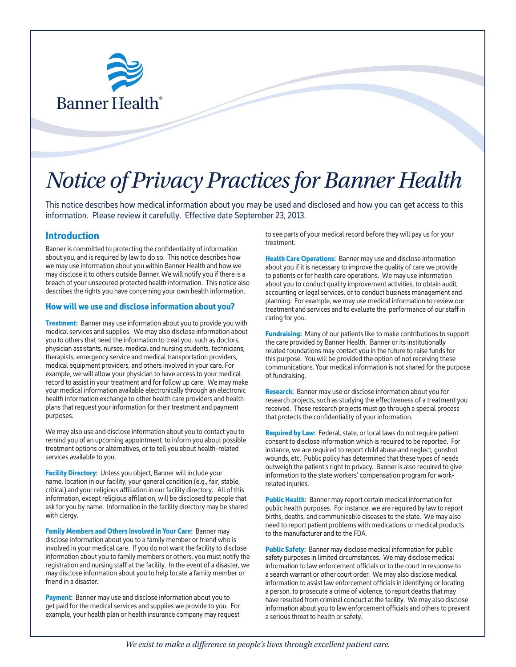

# *Notice of Privacy Practices for Banner Health*

This notice describes how medical information about you may be used and disclosed and how you can get access to this information. Please review it carefully. Effective date September 23, 2013.

## **Introduction**

Banner is committed to protecting the confidentiality of information about you, and is required by law to do so. This notice describes how we may use information about you within Banner Health and how we may disclose it to others outside Banner. We will notify you if there is a breach of your unsecured protected health information. This notice also describes the rights you have concerning your own health information.

#### **How will we use and disclose information about you?**

**Treatment:** Banner may use information about you to provide you with medical services and supplies. We may also disclose information about you to others that need the information to treat you, such as doctors, physician assistants, nurses, medical and nursing students, technicians, therapists, emergency service and medical transportation providers, medical equipment providers, and others involved in your care. For example, we will allow your physician to have access to your medical record to assist in your treatment and for follow up care. We may make your medical information available electronically through an electronic health information exchange to other health care providers and health plans that request your information for their treatment and payment purposes.

We may also use and disclose information about you to contact you to remind you of an upcoming appointment, to inform you about possible treatment options or alternatives, or to tell you about health-related services available to you.

**Facility Directory:** Unless you object, Banner will include your name, location in our facility, your general condition (e.g., fair, stable, critical) and your religious affiliation in our facility directory. All of this information, except religious affiliation, will be disclosed to people that ask for you by name. Information in the facility directory may be shared with clergy.

**Family Members and Others Involved in Your Care:** Banner may disclose information about you to a family member or friend who is involved in your medical care. If you do not want the facility to disclose information about you to family members or others, you must notify the registration and nursing staff at the facility. In the event of a disaster, we may disclose information about you to help locate a family member or friend in a disaster.

Payment: Banner may use and disclose information about you to get paid for the medical services and supplies we provide to you. For example, your health plan or health insurance company may request to see parts of your medical record before they will pay us for your treatment.

**Health Care Operations:** Banner may use and disclose information about you if it is necessary to improve the quality of care we provide to patients or for health care operations. We may use information about you to conduct quality improvement activities, to obtain audit, accounting or legal services, or to conduct business management and planning. For example, we may use medical information to review our treatment and services and to evaluate the performance of our staff in caring for you.

**Fundraising:** Many of our patients like to make contributions to support the care provided by Banner Health. Banner or its institutionally related foundations may contact you in the future to raise funds for this purpose. You will be provided the option of not receiving these communications. Your medical information is not shared for the purpose of fundraising.

**Research:** Banner may use or disclose information about you for research projects, such as studying the effectiveness of a treatment you received. These research projects must go through a special process that protects the confidentiality of your information.

**Required by Law:** Federal, state, or local laws do not require patient consent to disclose information which is required to be reported. For instance, we are required to report child abuse and neglect, gunshot wounds, etc. Public policy has determined that these types of needs outweigh the patient's right to privacy. Banner is also required to give information to the state workers' compensation program for workrelated injuries.

**Public Health:** Banner may report certain medical information for public health purposes. For instance, we are required by law to report births, deaths, and communicable diseases to the state. We may also need to report patient problems with medications or medical products to the manufacturer and to the FDA.

**Public Safety:** Banner may disclose medical information for public safety purposes in limited circumstances. We may disclose medical information to law enforcement officials or to the court in response to a search warrant or other court order. We may also disclose medical information to assist law enforcement officials in identifying or locating a person, to prosecute a crime of violence, to report deaths that may have resulted from criminal conduct at the facility. We may also disclose information about you to law enforcement officials and others to prevent a serious threat to health or safety.